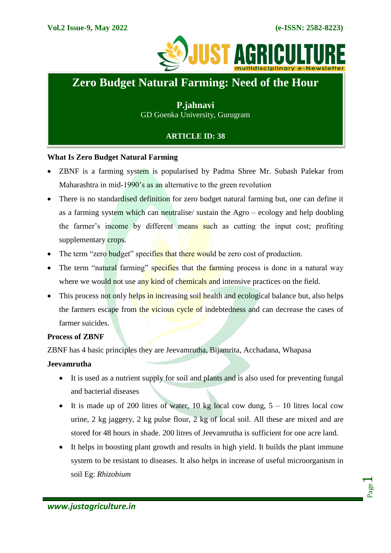

# **Zero Budget Natural Farming: Need of the Hour**

**P.jahnavi** GD Goenka University, Gurugram

## **ARTICLE ID: 38**

## **What Is Zero Budget Natural Farming**

- ZBNF is a farming system is popularised by Padma Shree Mr. Subash Palekar from Maharashtra in mid-1990's as an alternative to the green revolution
- There is no standardised definition for zero budget natural farming but, one can define it as a farming system which can neutralise/ sustain the Agro – ecology and help doubling the farmer's income by different means such as cutting the input cost; profiting supplementary crops.
- The term "zero budget" specifies that there would be zero cost of production.
- The term "natural farming" specifies that the farming process is done in a natural way where we would not use any kind of chemicals and intensive practices on the field.
- This process not only helps in increasing soil health and ecological balance but, also helps the farmers escape from the vicious cycle of indebtedness and can decrease the cases of farmer suicides.

## **Process of ZBNF**

ZBNF has 4 basic principles they are Jeevamrutha, Bijamrita, Acchadana, Whapasa

## **Jeevamrutha**

- It is used as a nutrient supply for soil and plants and is also used for preventing fungal and bacterial diseases
- It is made up of 200 litres of water, 10 kg local cow dung,  $5 10$  litres local cow urine, 2 kg jaggery, 2 kg pulse flour, 2 kg of local soil. All these are mixed and are stored for 48 hours in shade. 200 litres of Jeevamrutha is sufficient for one acre land.
- It helps in boosting plant growth and results in high yield. It builds the plant immune system to be resistant to diseases. It also helps in increase of useful microorganism in soil Eg: *Rhizobium*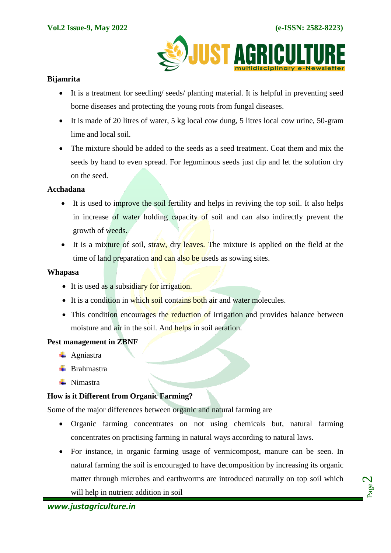

## **Bijamrita**

- It is a treatment for seedling/ seeds/ planting material. It is helpful in preventing seed borne diseases and protecting the young roots from fungal diseases.
- It is made of 20 litres of water, 5 kg local cow dung, 5 litres local cow urine, 50-gram lime and local soil.
- The mixture should be added to the seeds as a seed treatment. Coat them and mix the seeds by hand to even spread. For leguminous seeds just dip and let the solution dry on the seed.

### **Acchadana**

- It is used to improve the soil fertility and helps in reviving the top soil. It also helps in increase of water holding capacity of soil and can also indirectly prevent the growth of weeds.
- It is a mixture of soil, straw, dry leaves. The mixture is applied on the field at the time of land preparation and can also be useds as sowing sites.

### **Whapasa**

- It is used as a subsidiary for irrigation.
- It is a condition in which soil contains both air and water molecules.
- This condition encourages the reduction of irrigation and provides balance between moisture and air in the soil. And helps in soil aeration.

### **Pest management in ZBNF**

- $\leftarrow$  Agniastra
- $\leftarrow$  Brahmastra
- $\blacksquare$  Nimastra

## **How is it Different from Organic Farming?**

Some of the major differences between organic and natural farming are

- Organic farming concentrates on not using chemicals but, natural farming concentrates on practising farming in natural ways according to natural laws.
- For instance, in organic farming usage of vermicompost, manure can be seen. In natural farming the soil is encouraged to have decomposition by increasing its organic matter through microbes and earthworms are introduced naturally on top soil which will help in nutrient addition in soil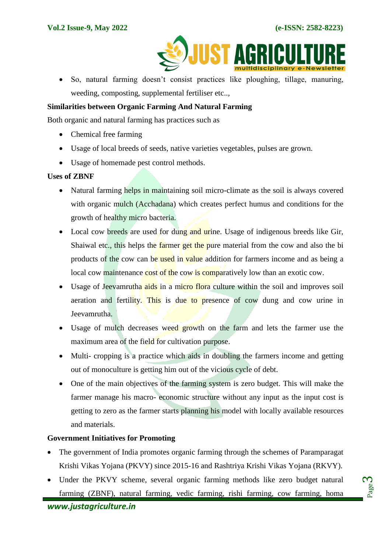

 So, natural farming doesn't consist practices like ploughing, tillage, manuring, weeding, composting, supplemental fertiliser etc..,

## **Similarities between Organic Farming And Natural Farming**

Both organic and natural farming has practices such as

- Chemical free farming
- Usage of local breeds of seeds, native varieties vegetables, pulses are grown.
- Usage of homemade pest control methods.

### **Uses of ZBNF**

- Natural farming helps in maintaining soil micro-climate as the soil is always covered with organic mulch (Acchadana) which creates perfect humus and conditions for the growth of healthy micro bacteria.
- Local cow breeds are used for dung and urine. Usage of indigenous breeds like Gir, Shaiwal etc., this helps the farmer get the pure material from the cow and also the bi products of the cow can be used in value addition for farmers income and as being a local cow maintenance cost of the cow is comparatively low than an exotic cow.
- Usage of Jeevamrutha aids in a micro flora culture within the soil and improves soil aeration and fertility. This is due to presence of cow dung and cow urine in Jeevamrutha.
- Usage of mulch decreases weed growth on the farm and lets the farmer use the maximum area of the field for cultivation purpose.
- Multi- cropping is a practice which aids in doubling the farmers income and getting out of monoculture is getting him out of the vicious cycle of debt.
- One of the main objectives of the farming system is zero budget. This will make the farmer manage his macro- economic structure without any input as the input cost is getting to zero as the farmer starts planning his model with locally available resources and materials.

### **Government Initiatives for Promoting**

- The government of India promotes organic farming through the schemes of Paramparagat Krishi Vikas Yojana (PKVY) since 2015-16 and Rashtriya Krishi Vikas Yojana (RKVY).
- Under the PKVY scheme, several organic farming methods like zero budget natural farming (ZBNF), natural farming, vedic farming, rishi farming, cow farming, homa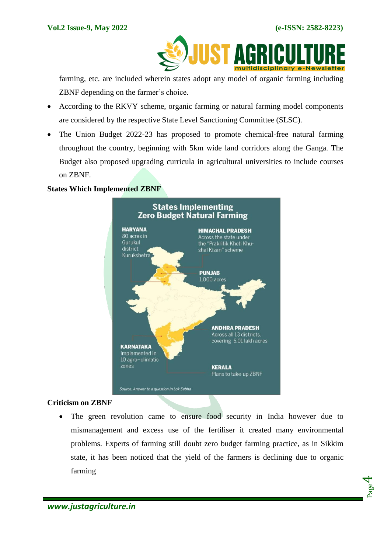

farming, etc. are included wherein states adopt any model of organic farming including ZBNF depending on the farmer's choice.

- According to the RKVY scheme, organic farming or natural farming model components are considered by the respective State Level Sanctioning Committee (SLSC).
- The Union Budget 2022-23 has proposed to promote chemical-free natural farming throughout the country, beginning with 5km wide land corridors along the Ganga. The Budget also proposed upgrading curricula in agricultural universities to include courses on ZBNF.

## **States Which Implemented ZBNF**



### **Criticism on ZBNF**

• The green revolution came to ensure food security in India however due to mismanagement and excess use of the fertiliser it created many environmental problems. Experts of farming still doubt zero budget farming practice, as in Sikkim state, it has been noticed that the yield of the farmers is declining due to organic farming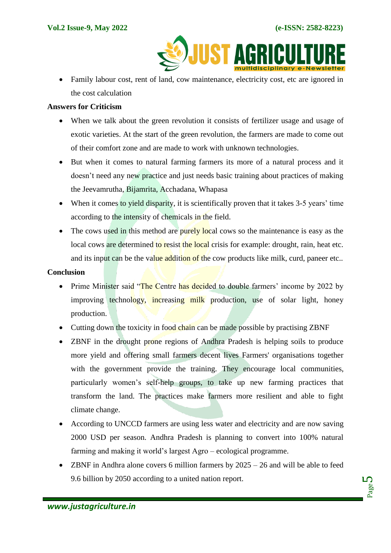

• Family labour cost, rent of land, cow maintenance, electricity cost, etc are ignored in the cost calculation

## **Answers for Criticism**

- When we talk about the green revolution it consists of fertilizer usage and usage of exotic varieties. At the start of the green revolution, the farmers are made to come out of their comfort zone and are made to work with unknown technologies.
- But when it comes to natural farming farmers its more of a natural process and it doesn't need any new practice and just needs basic training about practices of making the Jeevamrutha, Bijamrita, Acchadana, Whapasa
- When it comes to yield disparity, it is scientifically proven that it takes 3-5 years' time according to the intensity of chemicals in the field.
- The cows used in this method are purely local cows so the maintenance is easy as the local cows are determined to resist the local crisis for example: drought, rain, heat etc. and its input can be the value addition of the cow products like milk, curd, paneer etc..

#### **Conclusion**

- Prime Minister said "The Centre has decided to double farmers' income by 2022 by improving technology, increasing milk production, use of solar light, honey production.
- Cutting down the toxicity in food chain can be made possible by practising ZBNF
- ZBNF in the drought prone regions of Andhra Pradesh is helping soils to produce more yield and offering small farmers decent lives Farmers' organisations together with the government provide the training. They encourage local communities, particularly women's self-help groups, to take up new farming practices that transform the land. The practices make farmers more resilient and able to fight climate change.
- According to UNCCD farmers are using less water and electricity and are now saving 2000 USD per season. Andhra Pradesh is planning to convert into 100% natural farming and making it world's largest Agro – ecological programme.
- $\bullet$  ZBNF in Andhra alone covers 6 million farmers by 2025 26 and will be able to feed 9.6 billion by 2050 according to a united nation report.

Page ம